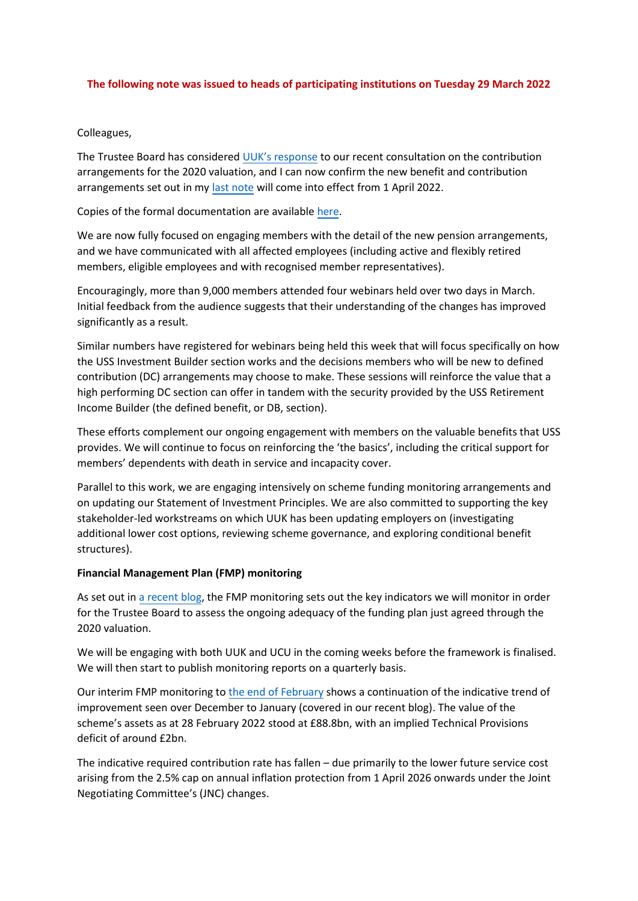# **The following note was issued to heads of participating institutions on Tuesday 29 March 2022**

# Colleagues,

The Trustee Board has considered [UUK's response](https://www.ussemployers.org.uk/sites/default/files/field/attachemnt/20220316%20-%20Bill%20Galvin.pdf) to our recent consultation on the contribution arrangements for the 2020 valuation, and I can now confirm the new benefit and contribution arrangements set out in my [last note](https://www.uss.co.uk/-/media/project/ussmainsite/files/about-us/valuations_yearly/2020-valuation/hoi-note-132022.pdf?rev=ac3320072c5d43539a0359b581a3eebf&hash=7621D930C230A95A5A4E7CE0E3461EC1) will come into effect from 1 April 2022.

Copies of the formal documentation are available [here.](https://www.uss.co.uk/about-us/valuation-and-funding)

We are now fully focused on engaging members with the detail of the new pension arrangements, and we have communicated with all affected employees (including active and flexibly retired members, eligible employees and with recognised member representatives).

Encouragingly, more than 9,000 members attended four webinars held over two days in March. Initial feedback from the audience suggests that their understanding of the changes has improved significantly as a result.

Similar numbers have registered for webinars being held this week that will focus specifically on how the USS Investment Builder section works and the decisions members who will be new to defined contribution (DC) arrangements may choose to make. These sessions will reinforce the value that a high performing DC section can offer in tandem with the security provided by the USS Retirement Income Builder (the defined benefit, or DB, section).

These efforts complement our ongoing engagement with members on the valuable benefits that USS provides. We will continue to focus on reinforcing the 'the basics', including the critical support for members' dependents with death in service and incapacity cover.

Parallel to this work, we are engaging intensively on scheme funding monitoring arrangements and on updating our Statement of Investment Principles. We are also committed to supporting the key stakeholder-led workstreams on which UUK has been updating employers on (investigating additional lower cost options, reviewing scheme governance, and exploring conditional benefit structures).

## **Financial Management Plan (FMP) monitoring**

As set out i[n a recent blog,](https://www.uss.co.uk/news-and-views/views-from-uss/2022/02/02162022_scheme-funding-whats-the-latest-picture) the FMP monitoring sets out the key indicators we will monitor in order for the Trustee Board to assess the ongoing adequacy of the funding plan just agreed through the 2020 valuation.

We will be engaging with both UUK and UCU in the coming weeks before the framework is finalised. We will then start to publish monitoring reports on a quarterly basis.

Our interim FMP monitoring to [the end of February](https://www.uss.co.uk/-/media/project/ussmainsite/files/about-us/our-valuation/interim-monitoring-of-the-fmp---february-2022.pdf) shows a continuation of the indicative trend of improvement seen over December to January (covered in our recent blog). The value of the scheme's assets as at 28 February 2022 stood at £88.8bn, with an implied Technical Provisions deficit of around £2bn.

The indicative required contribution rate has fallen – due primarily to the lower future service cost arising from the 2.5% cap on annual inflation protection from 1 April 2026 onwards under the Joint Negotiating Committee's (JNC) changes.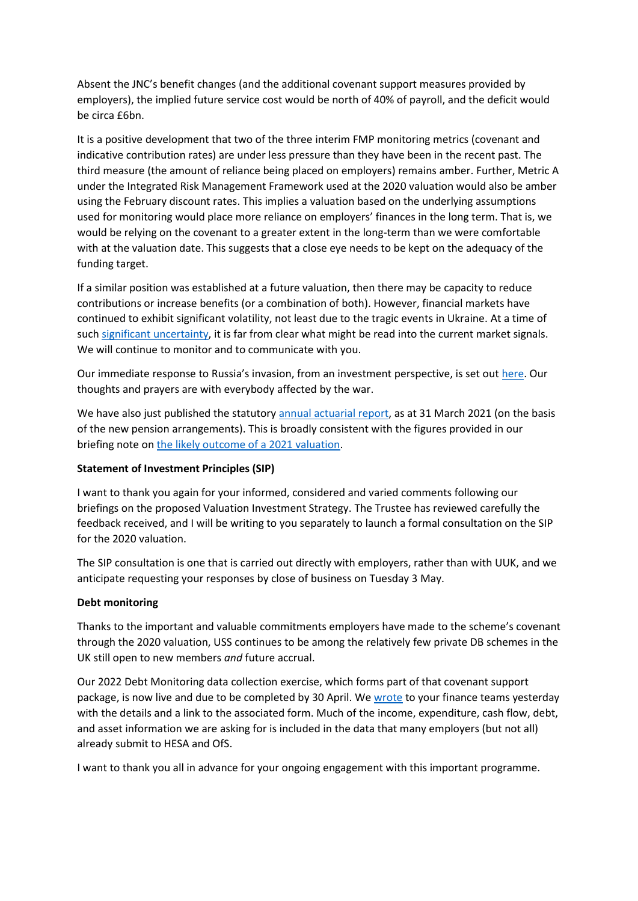Absent the JNC's benefit changes (and the additional covenant support measures provided by employers), the implied future service cost would be north of 40% of payroll, and the deficit would be circa £6bn.

It is a positive development that two of the three interim FMP monitoring metrics (covenant and indicative contribution rates) are under less pressure than they have been in the recent past. The third measure (the amount of reliance being placed on employers) remains amber. Further, Metric A under the Integrated Risk Management Framework used at the 2020 valuation would also be amber using the February discount rates. This implies a valuation based on the underlying assumptions used for monitoring would place more reliance on employers' finances in the long term. That is, we would be relying on the covenant to a greater extent in the long-term than we were comfortable with at the valuation date. This suggests that a close eye needs to be kept on the adequacy of the funding target.

If a similar position was established at a future valuation, then there may be capacity to reduce contributions or increase benefits (or a combination of both). However, financial markets have continued to exhibit significant volatility, not least due to the tragic events in Ukraine. At a time of such [significant uncertainty,](https://www.gov.uk/government/publications/spring-statement-2022-documents/spring-statement-2022-html) it is far from clear what might be read into the current market signals. We will continue to monitor and to communicate with you.

Our immediate response to Russia's invasion, from an investment perspective, is set out [here.](https://www.uss.co.uk/news-and-views/latest-news/2022/03/03032022_russia-related-investments) Our thoughts and prayers are with everybody affected by the war.

We have also just published the statutory [annual actuarial report,](https://www.uss.co.uk/-/media/project/ussmainsite/files/about-us/our-valuation/actuarial-valuation-interim-assessment---march-2021.pdf) as at 31 March 2021 (on the basis of the new pension arrangements). This is broadly consistent with the figures provided in our briefing note on [the likely outcome of a 2021 valuation.](https://www.uss.co.uk/-/media/project/ussmainsite/files/about-us/valuations_yearly/2020-valuation/uss-briefing-the-likely-outcome-of-a-2021-valuation-23072021.pdf?rev=52deef54c93c49ed813bf8201259d953&hash=96E1C26A7DFDFE9BD76BF4139B1C342F)

## **Statement of Investment Principles (SIP)**

I want to thank you again for your informed, considered and varied comments following our briefings on the proposed Valuation Investment Strategy. The Trustee has reviewed carefully the feedback received, and I will be writing to you separately to launch a formal consultation on the SIP for the 2020 valuation.

The SIP consultation is one that is carried out directly with employers, rather than with UUK, and we anticipate requesting your responses by close of business on Tuesday 3 May.

## **Debt monitoring**

Thanks to the important and valuable commitments employers have made to the scheme's covenant through the 2020 valuation, USS continues to be among the relatively few private DB schemes in the UK still open to new members *and* future accrual.

Our 2022 Debt Monitoring data collection exercise, which forms part of that covenant support package, is now live and due to be completed by 30 April. We [wrote](https://ddlnk.net/2PRX-19B51-23FCED02DE9587694XEUER41612491C9070436/cr.aspx) to your finance teams yesterday with the details and a link to the associated form. Much of the income, expenditure, cash flow, debt, and asset information we are asking for is included in the data that many employers (but not all) already submit to HESA and OfS.

I want to thank you all in advance for your ongoing engagement with this important programme.